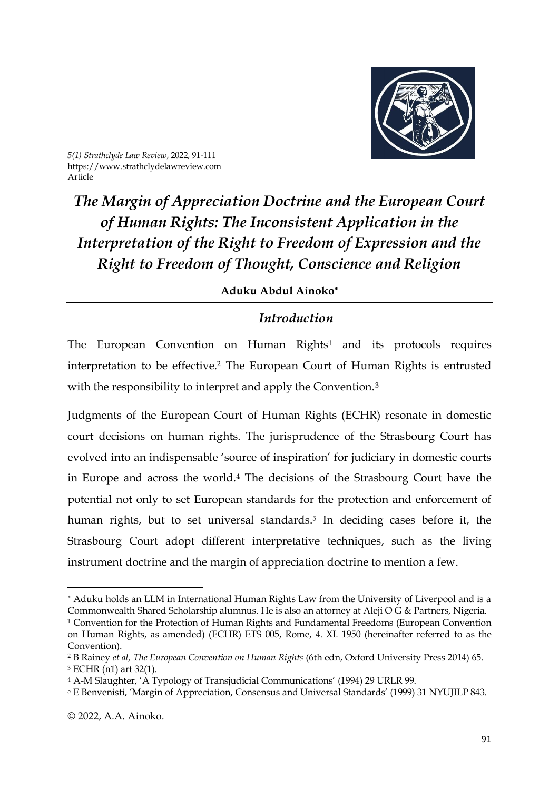

*5(1) Strathclyde Law Review*, 2022, 91-111 https://www.strathclydelawreview.com Article

*The Margin of Appreciation Doctrine and the European Court of Human Rights: The Inconsistent Application in the Interpretation of the Right to Freedom of Expression and the Right to Freedom of Thought, Conscience and Religion*

### **Aduku Abdul Ainoko**

# *Introduction*

The European Convention on Human Rights<sup>1</sup> and its protocols requires interpretation to be effective. <sup>2</sup> The European Court of Human Rights is entrusted with the responsibility to interpret and apply the Convention.<sup>3</sup>

Judgments of the European Court of Human Rights (ECHR) resonate in domestic court decisions on human rights. The jurisprudence of the Strasbourg Court has evolved into an indispensable 'source of inspiration' for judiciary in domestic courts in Europe and across the world.<sup>4</sup> The decisions of the Strasbourg Court have the potential not only to set European standards for the protection and enforcement of human rights, but to set universal standards. 5 In deciding cases before it, the Strasbourg Court adopt different interpretative techniques, such as the living instrument doctrine and the margin of appreciation doctrine to mention a few.

Aduku holds an LLM in International Human Rights Law from the University of Liverpool and is a Commonwealth Shared Scholarship alumnus. He is also an attorney at Aleji O G & Partners, Nigeria.

<sup>1</sup> Convention for the Protection of Human Rights and Fundamental Freedoms (European Convention on Human Rights, as amended) (ECHR) ETS 005, Rome, 4. XI. 1950 (hereinafter referred to as the Convention).

<sup>2</sup> B Rainey *et al, The European Convention on Human Rights* (6th edn, Oxford University Press 2014) 65. <sup>3</sup> ECHR (n1) art 32(1).

<sup>4</sup> A-M Slaughter, 'A Typology of Transjudicial Communications' (1994) 29 URLR 99.

<sup>5</sup> E Benvenisti, 'Margin of Appreciation, Consensus and Universal Standards' (1999) 31 NYUJILP 843.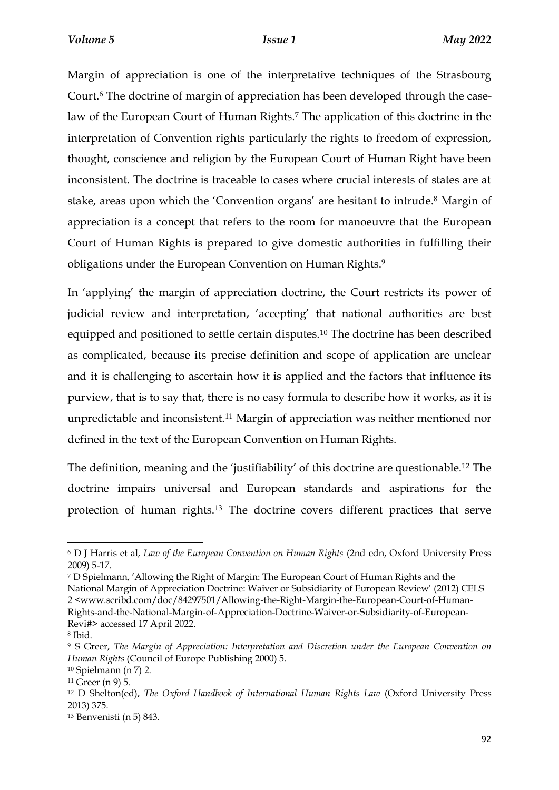Margin of appreciation is one of the interpretative techniques of the Strasbourg Court.<sup>6</sup> The doctrine of margin of appreciation has been developed through the caselaw of the European Court of Human Rights.<sup>7</sup> The application of this doctrine in the interpretation of Convention rights particularly the rights to freedom of expression, thought, conscience and religion by the European Court of Human Right have been inconsistent. The doctrine is traceable to cases where crucial interests of states are at stake, areas upon which the 'Convention organs' are hesitant to intrude.<sup>8</sup> Margin of appreciation is a concept that refers to the room for manoeuvre that the European Court of Human Rights is prepared to give domestic authorities in fulfilling their obligations under the European Convention on Human Rights.<sup>9</sup>

In 'applying' the margin of appreciation doctrine, the Court restricts its power of judicial review and interpretation, 'accepting' that national authorities are best equipped and positioned to settle certain disputes.<sup>10</sup> The doctrine has been described as complicated, because its precise definition and scope of application are unclear and it is challenging to ascertain how it is applied and the factors that influence its purview, that is to say that, there is no easy formula to describe how it works, as it is unpredictable and inconsistent.<sup>11</sup> Margin of appreciation was neither mentioned nor defined in the text of the European Convention on Human Rights.

The definition, meaning and the 'justifiability' of this doctrine are questionable.<sup>12</sup> The doctrine impairs universal and European standards and aspirations for the protection of human rights.<sup>13</sup> The doctrine covers different practices that serve

<sup>6</sup> D J Harris et al, *Law of the European Convention on Human Rights* (2nd edn, Oxford University Press 2009) 5-17.

<sup>7</sup> D Spielmann, 'Allowing the Right of Margin: The European Court of Human Rights and the

National Margin of Appreciation Doctrine: Waiver or Subsidiarity of European Review' (2012) CELS 2 <www.scribd.com/doc/84297501/Allowing-the-Right-Margin-the-European-Court-of-Human-Rights-and-the-National-Margin-of-Appreciation-Doctrine-Waiver-or-Subsidiarity-of-European-Revi#> accessed 17 April 2022.

<sup>8</sup> Ibid.

<sup>9</sup> S Greer, *The Margin of Appreciation: Interpretation and Discretion under the European Convention on Human Rights* (Council of Europe Publishing 2000) 5.

<sup>10</sup> Spielmann (n 7) 2.

<sup>11</sup> Greer (n 9) 5.

<sup>12</sup> D Shelton(ed), *The Oxford Handbook of International Human Rights Law* (Oxford University Press 2013) 375.

<sup>13</sup> Benvenisti (n 5) 843.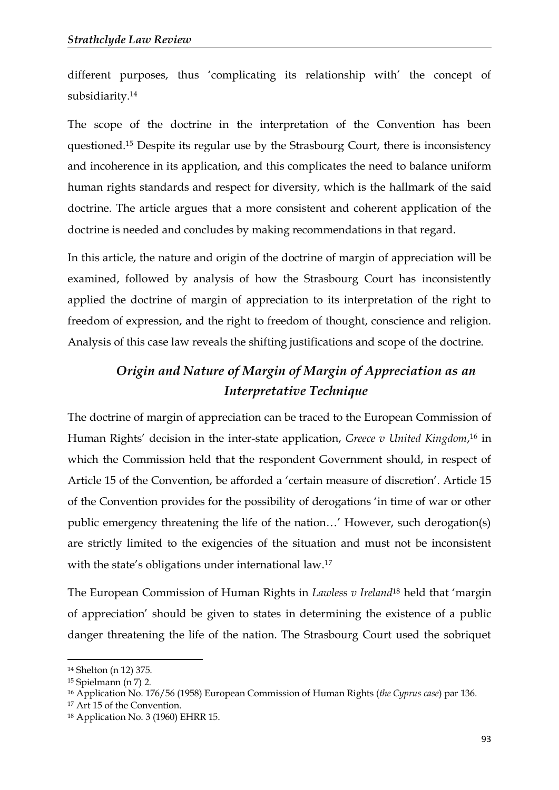different purposes, thus 'complicating its relationship with' the concept of subsidiarity.<sup>14</sup>

The scope of the doctrine in the interpretation of the Convention has been questioned.<sup>15</sup> Despite its regular use by the Strasbourg Court, there is inconsistency and incoherence in its application, and this complicates the need to balance uniform human rights standards and respect for diversity, which is the hallmark of the said doctrine. The article argues that a more consistent and coherent application of the doctrine is needed and concludes by making recommendations in that regard.

In this article, the nature and origin of the doctrine of margin of appreciation will be examined, followed by analysis of how the Strasbourg Court has inconsistently applied the doctrine of margin of appreciation to its interpretation of the right to freedom of expression, and the right to freedom of thought, conscience and religion. Analysis of this case law reveals the shifting justifications and scope of the doctrine.

# *Origin and Nature of Margin of Margin of Appreciation as an Interpretative Technique*

The doctrine of margin of appreciation can be traced to the European Commission of Human Rights' decision in the inter-state application, *Greece v United Kingdom*, <sup>16</sup> in which the Commission held that the respondent Government should, in respect of Article 15 of the Convention, be afforded a 'certain measure of discretion'. Article 15 of the Convention provides for the possibility of derogations 'in time of war or other public emergency threatening the life of the nation…' However, such derogation(s) are strictly limited to the exigencies of the situation and must not be inconsistent with the state's obligations under international law.<sup>17</sup>

The European Commission of Human Rights in *Lawless v Ireland*<sup>18</sup> held that 'margin of appreciation' should be given to states in determining the existence of a public danger threatening the life of the nation. The Strasbourg Court used the sobriquet

<sup>14</sup> Shelton (n 12) 375.

<sup>15</sup> Spielmann (n 7) 2.

<sup>16</sup> Application No. 176/56 (1958) European Commission of Human Rights (*the Cyprus case*) par 136.

<sup>17</sup> Art 15 of the Convention.

<sup>18</sup> Application No. 3 (1960) EHRR 15.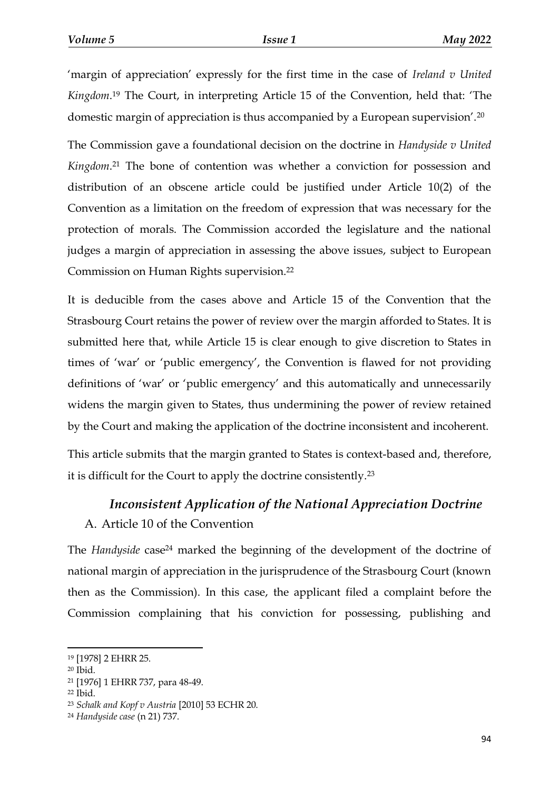'margin of appreciation' expressly for the first time in the case of *Ireland v United Kingdom*. <sup>19</sup> The Court, in interpreting Article 15 of the Convention, held that: 'The domestic margin of appreciation is thus accompanied by a European supervision'.<sup>20</sup>

The Commission gave a foundational decision on the doctrine in *Handyside v United Kingdom*. <sup>21</sup> The bone of contention was whether a conviction for possession and distribution of an obscene article could be justified under Article 10(2) of the Convention as a limitation on the freedom of expression that was necessary for the protection of morals. The Commission accorded the legislature and the national judges a margin of appreciation in assessing the above issues, subject to European Commission on Human Rights supervision.<sup>22</sup>

It is deducible from the cases above and Article 15 of the Convention that the Strasbourg Court retains the power of review over the margin afforded to States. It is submitted here that, while Article 15 is clear enough to give discretion to States in times of 'war' or 'public emergency', the Convention is flawed for not providing definitions of 'war' or 'public emergency' and this automatically and unnecessarily widens the margin given to States, thus undermining the power of review retained by the Court and making the application of the doctrine inconsistent and incoherent.

This article submits that the margin granted to States is context-based and, therefore, it is difficult for the Court to apply the doctrine consistently.<sup>23</sup>

# *Inconsistent Application of the National Appreciation Doctrine*

## A. Article 10 of the Convention

The *Handyside* case<sup>24</sup> marked the beginning of the development of the doctrine of national margin of appreciation in the jurisprudence of the Strasbourg Court (known then as the Commission). In this case, the applicant filed a complaint before the Commission complaining that his conviction for possessing, publishing and

-

<sup>21</sup> [1976] 1 EHRR 737, para 48-49.

<sup>19</sup> [1978] 2 EHRR 25.

<sup>20</sup> Ibid.

<sup>22</sup> Ibid.

<sup>23</sup> *Schalk and Kopf v Austria* [2010] 53 ECHR 20.

<sup>24</sup> *Handyside case* (n 21) 737.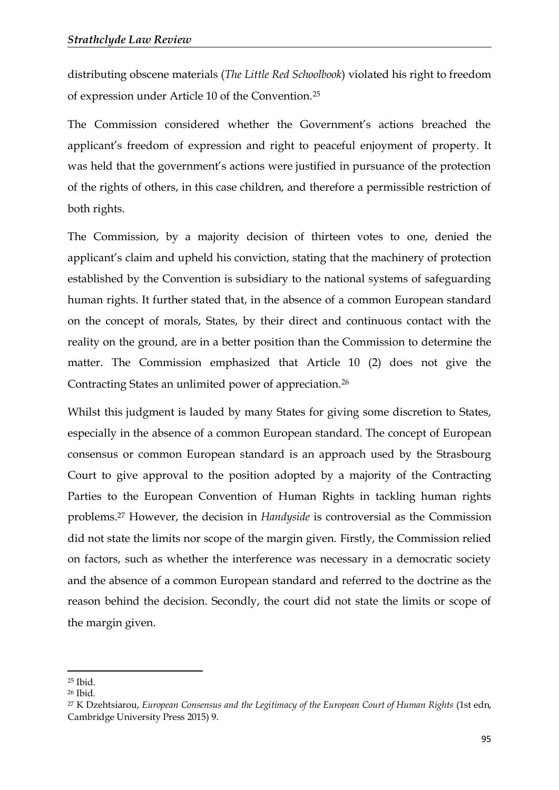distributing obscene materials (*The Little Red Schoolbook*) violated his right to freedom of expression under Article 10 of the Convention.<sup>25</sup>

The Commission considered whether the Government's actions breached the applicant's freedom of expression and right to peaceful enjoyment of property. It was held that the government's actions were justified in pursuance of the protection of the rights of others, in this case children, and therefore a permissible restriction of both rights.

The Commission, by a majority decision of thirteen votes to one, denied the applicant's claim and upheld his conviction, stating that the machinery of protection established by the Convention is subsidiary to the national systems of safeguarding human rights. It further stated that, in the absence of a common European standard on the concept of morals, States, by their direct and continuous contact with the reality on the ground, are in a better position than the Commission to determine the matter. The Commission emphasized that Article 10 (2) does not give the Contracting States an unlimited power of appreciation.<sup>26</sup>

Whilst this judgment is lauded by many States for giving some discretion to States, especially in the absence of a common European standard. The concept of European consensus or common European standard is an approach used by the Strasbourg Court to give approval to the position adopted by a majority of the Contracting Parties to the European Convention of Human Rights in tackling human rights problems.<sup>27</sup> However, the decision in *Handyside* is controversial as the Commission did not state the limits nor scope of the margin given. Firstly, the Commission relied on factors, such as whether the interference was necessary in a democratic society and the absence of a common European standard and referred to the doctrine as the reason behind the decision. Secondly, the court did not state the limits or scope of the margin given.

<sup>25</sup> Ibid.

<sup>26</sup> Ibid.

<sup>27</sup> K Dzehtsiarou, *European Consensus and the Legitimacy of the European Court of Human Rights* (1st edn, Cambridge University Press 2015) 9.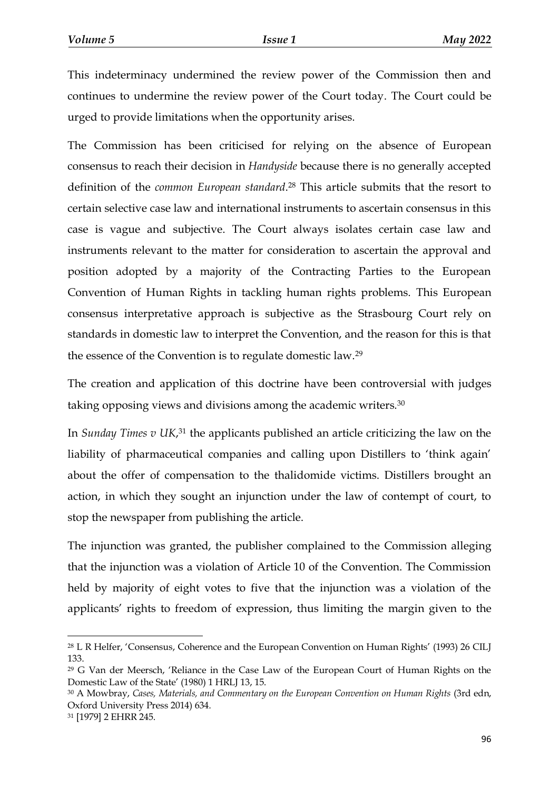This indeterminacy undermined the review power of the Commission then and continues to undermine the review power of the Court today. The Court could be urged to provide limitations when the opportunity arises.

The Commission has been criticised for relying on the absence of European consensus to reach their decision in *Handyside* because there is no generally accepted definition of the *common European standard*. <sup>28</sup> This article submits that the resort to certain selective case law and international instruments to ascertain consensus in this case is vague and subjective. The Court always isolates certain case law and instruments relevant to the matter for consideration to ascertain the approval and position adopted by a majority of the Contracting Parties to the European Convention of Human Rights in tackling human rights problems. This European consensus interpretative approach is subjective as the Strasbourg Court rely on standards in domestic law to interpret the Convention, and the reason for this is that the essence of the Convention is to regulate domestic law.<sup>29</sup>

The creation and application of this doctrine have been controversial with judges taking opposing views and divisions among the academic writers.<sup>30</sup>

In *Sunday Times v UK*,<sup>31</sup> the applicants published an article criticizing the law on the liability of pharmaceutical companies and calling upon Distillers to 'think again' about the offer of compensation to the thalidomide victims. Distillers brought an action, in which they sought an injunction under the law of contempt of court, to stop the newspaper from publishing the article.

The injunction was granted, the publisher complained to the Commission alleging that the injunction was a violation of Article 10 of the Convention. The Commission held by majority of eight votes to five that the injunction was a violation of the applicants' rights to freedom of expression, thus limiting the margin given to the

<sup>28</sup> L R Helfer, 'Consensus, Coherence and the European Convention on Human Rights' (1993) 26 CILJ 133.

<sup>29</sup> G Van der Meersch, 'Reliance in the Case Law of the European Court of Human Rights on the Domestic Law of the State' (1980) 1 HRLJ 13, 15.

<sup>30</sup> A Mowbray, *Cases, Materials, and Commentary on the European Convention on Human Rights* (3rd edn, Oxford University Press 2014) 634.

<sup>31</sup> [1979] 2 EHRR 245.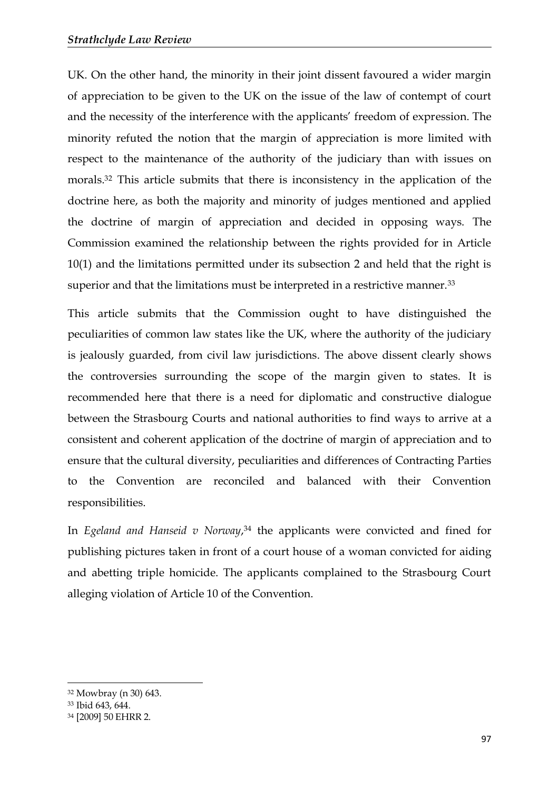UK. On the other hand, the minority in their joint dissent favoured a wider margin of appreciation to be given to the UK on the issue of the law of contempt of court and the necessity of the interference with the applicants' freedom of expression. The minority refuted the notion that the margin of appreciation is more limited with respect to the maintenance of the authority of the judiciary than with issues on morals.<sup>32</sup> This article submits that there is inconsistency in the application of the doctrine here, as both the majority and minority of judges mentioned and applied the doctrine of margin of appreciation and decided in opposing ways. The Commission examined the relationship between the rights provided for in Article 10(1) and the limitations permitted under its subsection 2 and held that the right is superior and that the limitations must be interpreted in a restrictive manner.<sup>33</sup>

This article submits that the Commission ought to have distinguished the peculiarities of common law states like the UK, where the authority of the judiciary is jealously guarded, from civil law jurisdictions. The above dissent clearly shows the controversies surrounding the scope of the margin given to states. It is recommended here that there is a need for diplomatic and constructive dialogue between the Strasbourg Courts and national authorities to find ways to arrive at a consistent and coherent application of the doctrine of margin of appreciation and to ensure that the cultural diversity, peculiarities and differences of Contracting Parties to the Convention are reconciled and balanced with their Convention responsibilities.

In *Egeland and Hanseid v Norway*, <sup>34</sup> the applicants were convicted and fined for publishing pictures taken in front of a court house of a woman convicted for aiding and abetting triple homicide. The applicants complained to the Strasbourg Court alleging violation of Article 10 of the Convention.

<sup>32</sup> Mowbray (n 30) 643.

<sup>33</sup> Ibid 643, 644.

<sup>34</sup> [2009] 50 EHRR 2.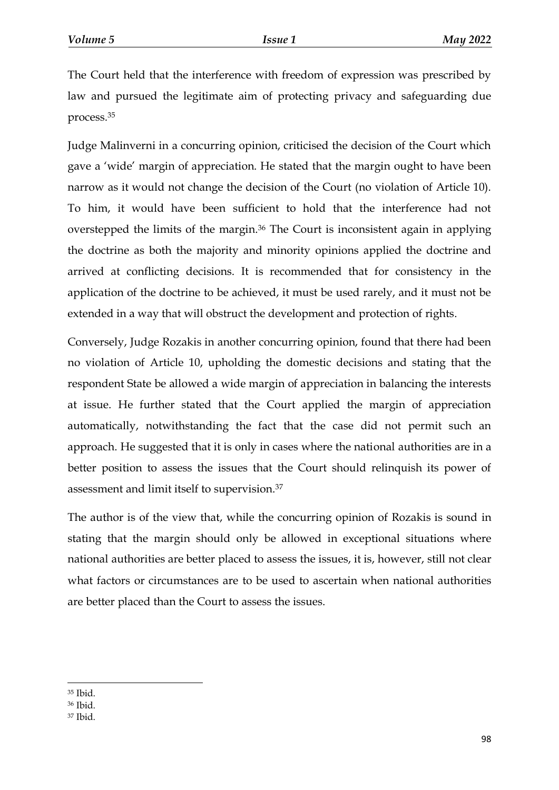The Court held that the interference with freedom of expression was prescribed by law and pursued the legitimate aim of protecting privacy and safeguarding due process.<sup>35</sup>

Judge Malinverni in a concurring opinion, criticised the decision of the Court which gave a 'wide' margin of appreciation. He stated that the margin ought to have been narrow as it would not change the decision of the Court (no violation of Article 10). To him, it would have been sufficient to hold that the interference had not overstepped the limits of the margin.<sup>36</sup> The Court is inconsistent again in applying the doctrine as both the majority and minority opinions applied the doctrine and arrived at conflicting decisions. It is recommended that for consistency in the application of the doctrine to be achieved, it must be used rarely, and it must not be extended in a way that will obstruct the development and protection of rights.

Conversely, Judge Rozakis in another concurring opinion, found that there had been no violation of Article 10, upholding the domestic decisions and stating that the respondent State be allowed a wide margin of appreciation in balancing the interests at issue. He further stated that the Court applied the margin of appreciation automatically, notwithstanding the fact that the case did not permit such an approach. He suggested that it is only in cases where the national authorities are in a better position to assess the issues that the Court should relinquish its power of assessment and limit itself to supervision.<sup>37</sup>

The author is of the view that, while the concurring opinion of Rozakis is sound in stating that the margin should only be allowed in exceptional situations where national authorities are better placed to assess the issues, it is, however, still not clear what factors or circumstances are to be used to ascertain when national authorities are better placed than the Court to assess the issues.

**<sup>.</sup>** <sup>35</sup> Ibid.

<sup>36</sup> Ibid.

<sup>37</sup> Ibid.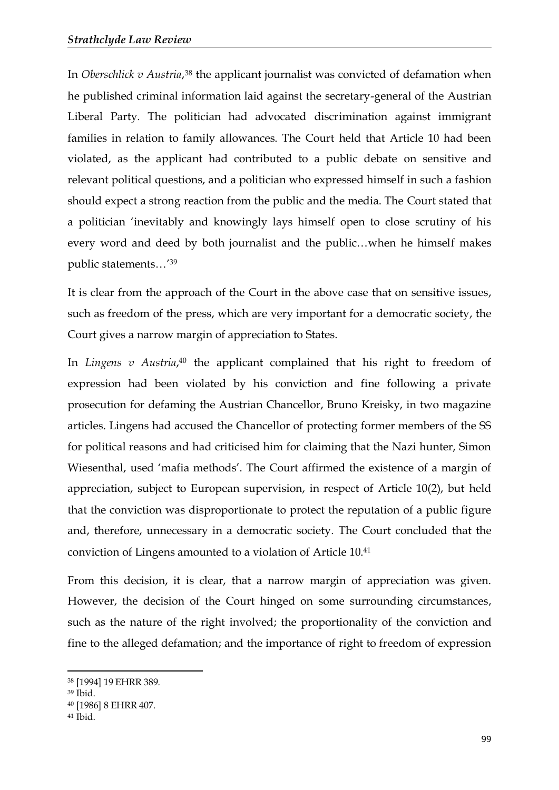In *Oberschlick v Austria*,<sup>38</sup> the applicant journalist was convicted of defamation when he published criminal information laid against the secretary-general of the Austrian Liberal Party. The politician had advocated discrimination against immigrant families in relation to family allowances. The Court held that Article 10 had been violated, as the applicant had contributed to a public debate on sensitive and relevant political questions, and a politician who expressed himself in such a fashion should expect a strong reaction from the public and the media. The Court stated that a politician 'inevitably and knowingly lays himself open to close scrutiny of his every word and deed by both journalist and the public…when he himself makes public statements…' 39

It is clear from the approach of the Court in the above case that on sensitive issues, such as freedom of the press, which are very important for a democratic society, the Court gives a narrow margin of appreciation to States.

In *Lingens v Austria*,<sup>40</sup> the applicant complained that his right to freedom of expression had been violated by his conviction and fine following a private prosecution for defaming the Austrian Chancellor, Bruno Kreisky, in two magazine articles. Lingens had accused the Chancellor of protecting former members of the SS for political reasons and had criticised him for claiming that the Nazi hunter, Simon Wiesenthal, used 'mafia methods'. The Court affirmed the existence of a margin of appreciation, subject to European supervision, in respect of Article 10(2), but held that the conviction was disproportionate to protect the reputation of a public figure and, therefore, unnecessary in a democratic society. The Court concluded that the conviction of Lingens amounted to a violation of Article 10.<sup>41</sup>

From this decision, it is clear, that a narrow margin of appreciation was given. However, the decision of the Court hinged on some surrounding circumstances, such as the nature of the right involved; the proportionality of the conviction and fine to the alleged defamation; and the importance of right to freedom of expression

<sup>38</sup> [1994] 19 EHRR 389.

<sup>39</sup> Ibid.

<sup>40</sup> [1986] 8 EHRR 407.

<sup>41</sup> Ibid.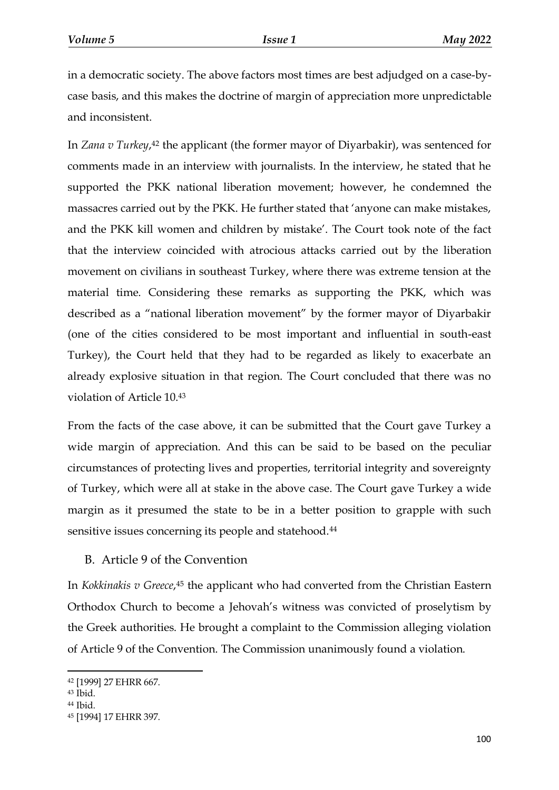in a democratic society. The above factors most times are best adjudged on a case-bycase basis, and this makes the doctrine of margin of appreciation more unpredictable and inconsistent.

In *Zana v Turkey*, <sup>42</sup> the applicant (the former mayor of Diyarbakir), was sentenced for comments made in an interview with journalists. In the interview, he stated that he supported the PKK national liberation movement; however, he condemned the massacres carried out by the PKK. He further stated that 'anyone can make mistakes, and the PKK kill women and children by mistake'. The Court took note of the fact that the interview coincided with atrocious attacks carried out by the liberation movement on civilians in southeast Turkey, where there was extreme tension at the material time. Considering these remarks as supporting the PKK, which was described as a "national liberation movement" by the former mayor of Diyarbakir (one of the cities considered to be most important and influential in south-east Turkey), the Court held that they had to be regarded as likely to exacerbate an already explosive situation in that region. The Court concluded that there was no violation of Article 10.<sup>43</sup>

From the facts of the case above, it can be submitted that the Court gave Turkey a wide margin of appreciation. And this can be said to be based on the peculiar circumstances of protecting lives and properties, territorial integrity and sovereignty of Turkey, which were all at stake in the above case. The Court gave Turkey a wide margin as it presumed the state to be in a better position to grapple with such sensitive issues concerning its people and statehood.<sup>44</sup>

#### B. Article 9 of the Convention

In *Kokkinakis v Greece*, <sup>45</sup> the applicant who had converted from the Christian Eastern Orthodox Church to become a Jehovah's witness was convicted of proselytism by the Greek authorities. He brought a complaint to the Commission alleging violation of Article 9 of the Convention. The Commission unanimously found a violation.

<sup>42</sup> [1999] 27 EHRR 667.

<sup>43</sup> Ibid.

<sup>44</sup> Ibid.

<sup>45</sup> [1994] 17 EHRR 397.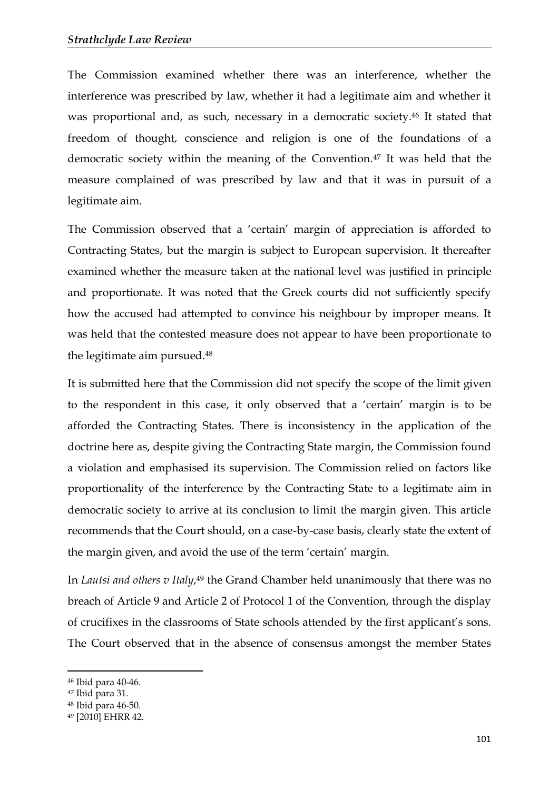The Commission examined whether there was an interference, whether the interference was prescribed by law, whether it had a legitimate aim and whether it was proportional and, as such, necessary in a democratic society.<sup>46</sup> It stated that freedom of thought, conscience and religion is one of the foundations of a democratic society within the meaning of the Convention.<sup>47</sup> It was held that the measure complained of was prescribed by law and that it was in pursuit of a legitimate aim.

The Commission observed that a 'certain' margin of appreciation is afforded to Contracting States, but the margin is subject to European supervision. It thereafter examined whether the measure taken at the national level was justified in principle and proportionate. It was noted that the Greek courts did not sufficiently specify how the accused had attempted to convince his neighbour by improper means. It was held that the contested measure does not appear to have been proportionate to the legitimate aim pursued.<sup>48</sup>

It is submitted here that the Commission did not specify the scope of the limit given to the respondent in this case, it only observed that a 'certain' margin is to be afforded the Contracting States. There is inconsistency in the application of the doctrine here as, despite giving the Contracting State margin, the Commission found a violation and emphasised its supervision. The Commission relied on factors like proportionality of the interference by the Contracting State to a legitimate aim in democratic society to arrive at its conclusion to limit the margin given. This article recommends that the Court should, on a case-by-case basis, clearly state the extent of the margin given, and avoid the use of the term 'certain' margin.

In *Lautsi and others v Italy*,<sup>49</sup> the Grand Chamber held unanimously that there was no breach of Article 9 and Article 2 of Protocol 1 of the Convention, through the display of crucifixes in the classrooms of State schools attended by the first applicant's sons. The Court observed that in the absence of consensus amongst the member States

<sup>46</sup> Ibid para 40-46.

<sup>47</sup> Ibid para 31.

<sup>48</sup> Ibid para 46-50.

<sup>49</sup> [2010] EHRR 42.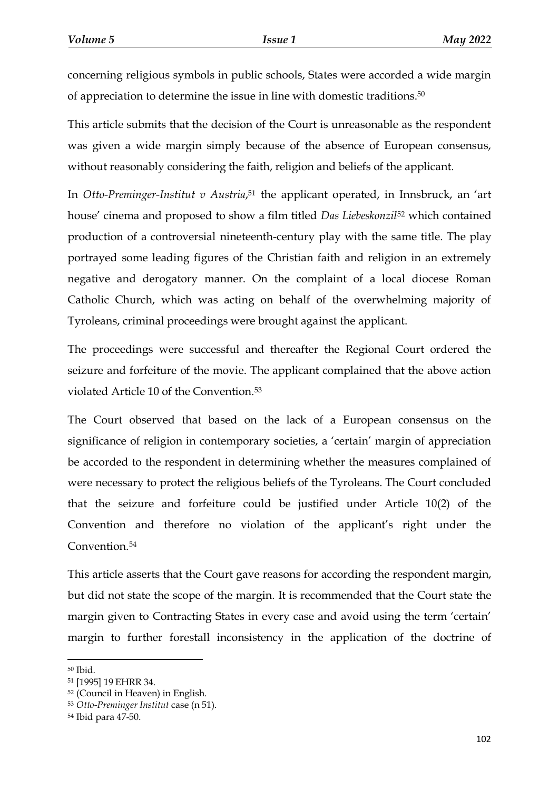concerning religious symbols in public schools, States were accorded a wide margin of appreciation to determine the issue in line with domestic traditions.<sup>50</sup>

This article submits that the decision of the Court is unreasonable as the respondent was given a wide margin simply because of the absence of European consensus, without reasonably considering the faith, religion and beliefs of the applicant.

In *Otto-Preminger-Institut v Austria*, <sup>51</sup> the applicant operated, in Innsbruck, an 'art house' cinema and proposed to show a film titled *Das Liebeskonzil*<sup>52</sup> which contained production of a controversial nineteenth-century play with the same title. The play portrayed some leading figures of the Christian faith and religion in an extremely negative and derogatory manner. On the complaint of a local diocese Roman Catholic Church, which was acting on behalf of the overwhelming majority of Tyroleans, criminal proceedings were brought against the applicant.

The proceedings were successful and thereafter the Regional Court ordered the seizure and forfeiture of the movie. The applicant complained that the above action violated Article 10 of the Convention.<sup>53</sup>

The Court observed that based on the lack of a European consensus on the significance of religion in contemporary societies, a 'certain' margin of appreciation be accorded to the respondent in determining whether the measures complained of were necessary to protect the religious beliefs of the Tyroleans. The Court concluded that the seizure and forfeiture could be justified under Article 10(2) of the Convention and therefore no violation of the applicant's right under the Convention.<sup>54</sup>

This article asserts that the Court gave reasons for according the respondent margin, but did not state the scope of the margin. It is recommended that the Court state the margin given to Contracting States in every case and avoid using the term 'certain' margin to further forestall inconsistency in the application of the doctrine of

<sup>50</sup> Ibid.

<sup>51</sup> [1995] 19 EHRR 34.

<sup>52</sup> (Council in Heaven) in English.

<sup>53</sup> *Otto-Preminger Institut* case (n 51).

<sup>54</sup> Ibid para 47-50.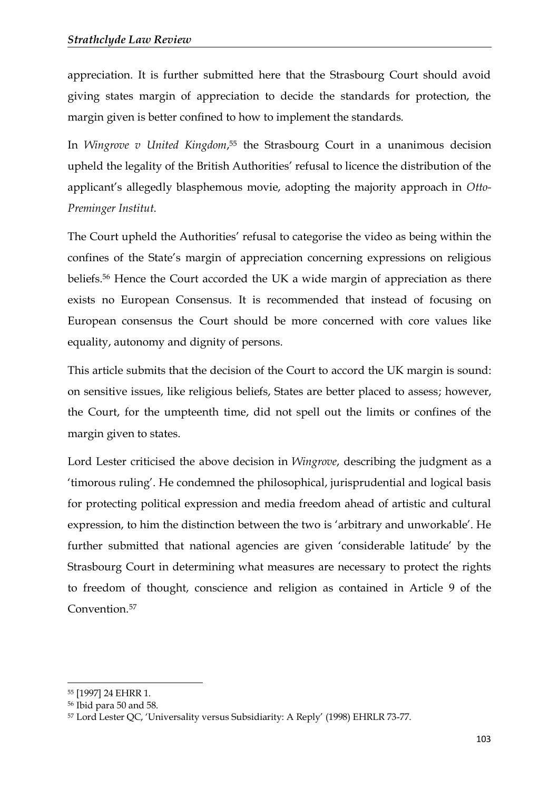appreciation. It is further submitted here that the Strasbourg Court should avoid giving states margin of appreciation to decide the standards for protection, the margin given is better confined to how to implement the standards.

In *Wingrove v United Kingdom*, <sup>55</sup> the Strasbourg Court in a unanimous decision upheld the legality of the British Authorities' refusal to licence the distribution of the applicant's allegedly blasphemous movie, adopting the majority approach in *Otto-Preminger Institut*.

The Court upheld the Authorities' refusal to categorise the video as being within the confines of the State's margin of appreciation concerning expressions on religious beliefs.<sup>56</sup> Hence the Court accorded the UK a wide margin of appreciation as there exists no European Consensus. It is recommended that instead of focusing on European consensus the Court should be more concerned with core values like equality, autonomy and dignity of persons.

This article submits that the decision of the Court to accord the UK margin is sound: on sensitive issues, like religious beliefs, States are better placed to assess; however, the Court, for the umpteenth time, did not spell out the limits or confines of the margin given to states.

Lord Lester criticised the above decision in *Wingrove*, describing the judgment as a 'timorous ruling'. He condemned the philosophical, jurisprudential and logical basis for protecting political expression and media freedom ahead of artistic and cultural expression, to him the distinction between the two is 'arbitrary and unworkable'. He further submitted that national agencies are given 'considerable latitude' by the Strasbourg Court in determining what measures are necessary to protect the rights to freedom of thought, conscience and religion as contained in Article 9 of the Convention.<sup>57</sup>

<sup>55</sup> [1997] 24 EHRR 1.

<sup>56</sup> Ibid para 50 and 58.

<sup>57</sup> Lord Lester QC, 'Universality versus Subsidiarity: A Reply' (1998) EHRLR 73-77.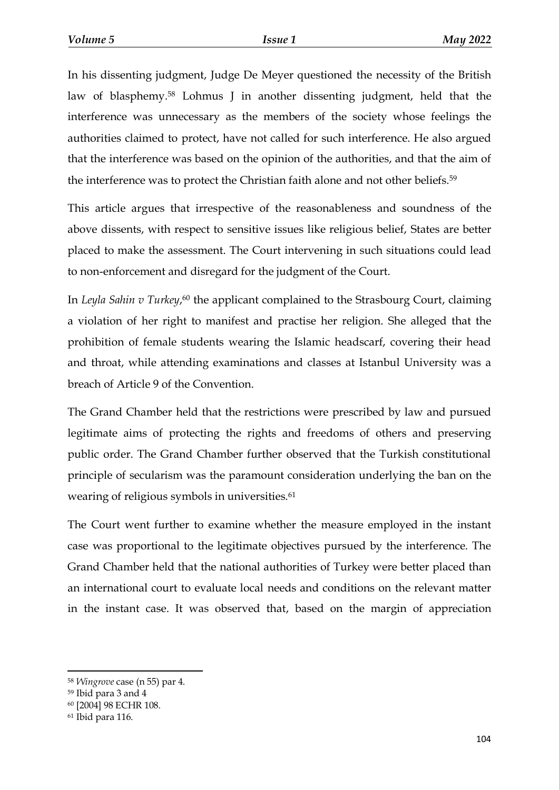In his dissenting judgment, Judge De Meyer questioned the necessity of the British law of blasphemy.<sup>58</sup> Lohmus J in another dissenting judgment, held that the interference was unnecessary as the members of the society whose feelings the authorities claimed to protect, have not called for such interference. He also argued that the interference was based on the opinion of the authorities, and that the aim of the interference was to protect the Christian faith alone and not other beliefs.<sup>59</sup>

This article argues that irrespective of the reasonableness and soundness of the above dissents, with respect to sensitive issues like religious belief, States are better placed to make the assessment. The Court intervening in such situations could lead to non-enforcement and disregard for the judgment of the Court.

In *Leyla Sahin v Turkey*,<sup>60</sup> the applicant complained to the Strasbourg Court, claiming a violation of her right to manifest and practise her religion. She alleged that the prohibition of female students wearing the Islamic headscarf, covering their head and throat, while attending examinations and classes at Istanbul University was a breach of Article 9 of the Convention.

The Grand Chamber held that the restrictions were prescribed by law and pursued legitimate aims of protecting the rights and freedoms of others and preserving public order. The Grand Chamber further observed that the Turkish constitutional principle of secularism was the paramount consideration underlying the ban on the wearing of religious symbols in universities.<sup>61</sup>

The Court went further to examine whether the measure employed in the instant case was proportional to the legitimate objectives pursued by the interference. The Grand Chamber held that the national authorities of Turkey were better placed than an international court to evaluate local needs and conditions on the relevant matter in the instant case. It was observed that, based on the margin of appreciation

<sup>58</sup> *Wingrove* case (n 55) par 4.

<sup>59</sup> Ibid para 3 and 4

<sup>60</sup> [2004] 98 ECHR 108.

<sup>61</sup> Ibid para 116.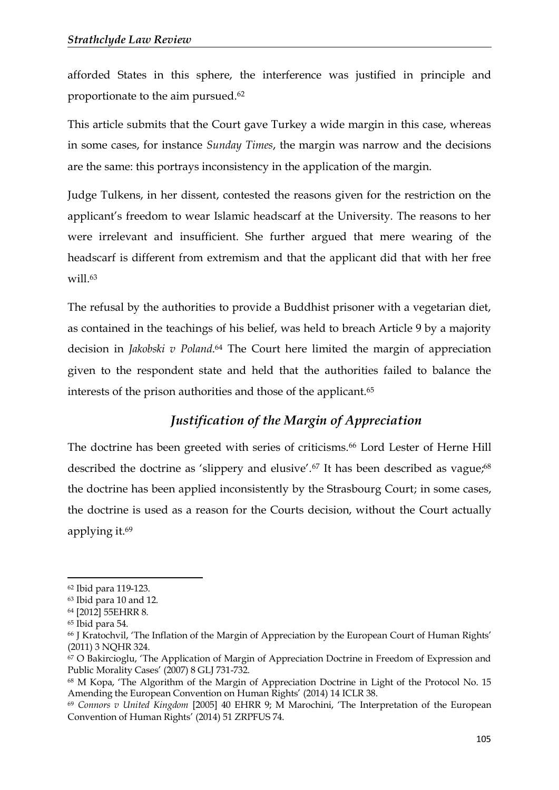afforded States in this sphere, the interference was justified in principle and proportionate to the aim pursued.<sup>62</sup>

This article submits that the Court gave Turkey a wide margin in this case, whereas in some cases, for instance *Sunday Times*, the margin was narrow and the decisions are the same: this portrays inconsistency in the application of the margin.

Judge Tulkens, in her dissent, contested the reasons given for the restriction on the applicant's freedom to wear Islamic headscarf at the University. The reasons to her were irrelevant and insufficient. She further argued that mere wearing of the headscarf is different from extremism and that the applicant did that with her free will.<sup>63</sup>

The refusal by the authorities to provide a Buddhist prisoner with a vegetarian diet, as contained in the teachings of his belief, was held to breach Article 9 by a majority decision in *Jakobski v Poland*. <sup>64</sup> The Court here limited the margin of appreciation given to the respondent state and held that the authorities failed to balance the interests of the prison authorities and those of the applicant.<sup>65</sup>

# *Justification of the Margin of Appreciation*

The doctrine has been greeted with series of criticisms.<sup>66</sup> Lord Lester of Herne Hill described the doctrine as 'slippery and elusive'.<sup>67</sup> It has been described as vague;<sup>68</sup> the doctrine has been applied inconsistently by the Strasbourg Court; in some cases, the doctrine is used as a reason for the Courts decision, without the Court actually applying it.<sup>69</sup>

<sup>62</sup> Ibid para 119-123.

<sup>63</sup> Ibid para 10 and 12.

<sup>64</sup> [2012] 55EHRR 8.

<sup>65</sup> Ibid para 54.

<sup>66</sup> J Kratochvil, 'The Inflation of the Margin of Appreciation by the European Court of Human Rights' (2011) 3 NQHR 324.

<sup>67</sup> O Bakircioglu, 'The Application of Margin of Appreciation Doctrine in Freedom of Expression and Public Morality Cases' (2007) 8 GLJ 731-732.

<sup>68</sup> M Kopa, 'The Algorithm of the Margin of Appreciation Doctrine in Light of the Protocol No. 15 Amending the European Convention on Human Rights' (2014) 14 ICLR 38.

<sup>69</sup> *Connors v United Kingdom* [2005] 40 EHRR 9; M Marochini, 'The Interpretation of the European Convention of Human Rights' (2014) 51 ZRPFUS 74.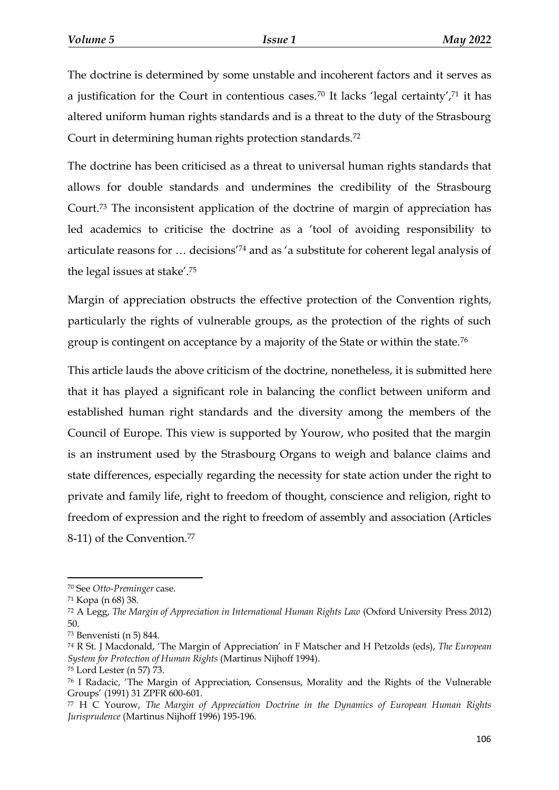The doctrine is determined by some unstable and incoherent factors and it serves as a justification for the Court in contentious cases.<sup>70</sup> It lacks 'legal certainty',<sup>71</sup> it has altered uniform human rights standards and is a threat to the duty of the Strasbourg Court in determining human rights protection standards.<sup>72</sup>

The doctrine has been criticised as a threat to universal human rights standards that allows for double standards and undermines the credibility of the Strasbourg Court.<sup>73</sup> The inconsistent application of the doctrine of margin of appreciation has led academics to criticise the doctrine as a 'tool of avoiding responsibility to articulate reasons for … decisions'<sup>74</sup> and as 'a substitute for coherent legal analysis of the legal issues at stake'.<sup>75</sup>

Margin of appreciation obstructs the effective protection of the Convention rights, particularly the rights of vulnerable groups, as the protection of the rights of such group is contingent on acceptance by a majority of the State or within the state.<sup>76</sup>

This article lauds the above criticism of the doctrine, nonetheless, it is submitted here that it has played a significant role in balancing the conflict between uniform and established human right standards and the diversity among the members of the Council of Europe. This view is supported by Yourow, who posited that the margin is an instrument used by the Strasbourg Organs to weigh and balance claims and state differences, especially regarding the necessity for state action under the right to private and family life, right to freedom of thought, conscience and religion, right to freedom of expression and the right to freedom of assembly and association (Articles 8-11) of the Convention.<sup>77</sup>

<sup>70</sup> See *Otto-Preminger* case.

<sup>71</sup> Kopa (n 68) 38.

<sup>72</sup> A Legg, *The Margin of Appreciation in International Human Rights Law* (Oxford University Press 2012) 50.

<sup>73</sup> Benvenisti (n 5) 844.

<sup>74</sup> R St. J Macdonald, 'The Margin of Appreciation' in F Matscher and H Petzolds (eds), *The European System for Protection of Human Rights* (Martinus Nijhoff 1994).

<sup>75</sup> Lord Lester (n 57) 73.

<sup>76</sup> I Radacic, 'The Margin of Appreciation, Consensus, Morality and the Rights of the Vulnerable Groups' (1991) 31 ZPFR 600-601.

<sup>77</sup> H C Yourow, *The Margin of Appreciation Doctrine in the Dynamics of European Human Rights Jurisprudence* (Martinus Nijhoff 1996) 195-196.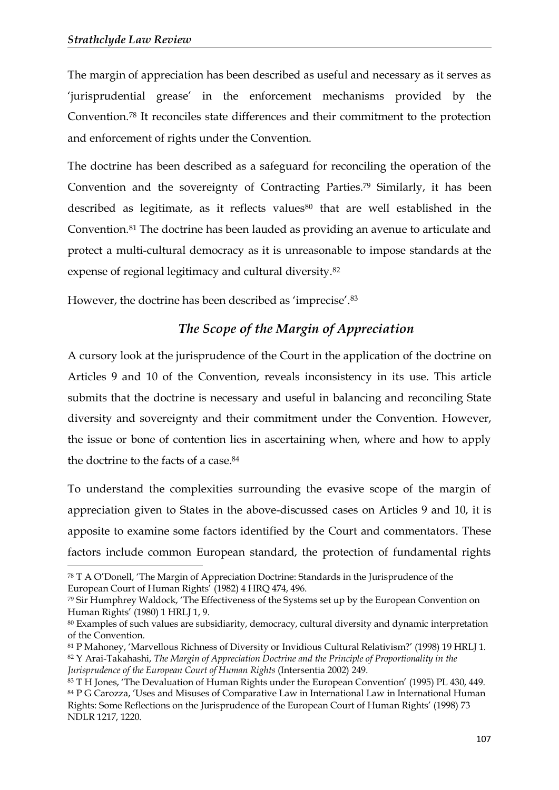-

The margin of appreciation has been described as useful and necessary as it serves as 'jurisprudential grease' in the enforcement mechanisms provided by the Convention.<sup>78</sup> It reconciles state differences and their commitment to the protection and enforcement of rights under the Convention.

The doctrine has been described as a safeguard for reconciling the operation of the Convention and the sovereignty of Contracting Parties.<sup>79</sup> Similarly, it has been described as legitimate, as it reflects values<sup>80</sup> that are well established in the Convention.<sup>81</sup> The doctrine has been lauded as providing an avenue to articulate and protect a multi-cultural democracy as it is unreasonable to impose standards at the expense of regional legitimacy and cultural diversity.<sup>82</sup>

However, the doctrine has been described as 'imprecise'.<sup>83</sup>

# *The Scope of the Margin of Appreciation*

A cursory look at the jurisprudence of the Court in the application of the doctrine on Articles 9 and 10 of the Convention, reveals inconsistency in its use. This article submits that the doctrine is necessary and useful in balancing and reconciling State diversity and sovereignty and their commitment under the Convention. However, the issue or bone of contention lies in ascertaining when, where and how to apply the doctrine to the facts of a case.<sup>84</sup>

To understand the complexities surrounding the evasive scope of the margin of appreciation given to States in the above-discussed cases on Articles 9 and 10, it is apposite to examine some factors identified by the Court and commentators. These factors include common European standard, the protection of fundamental rights

<sup>78</sup> T A O'Donell, 'The Margin of Appreciation Doctrine: Standards in the Jurisprudence of the European Court of Human Rights' (1982) 4 HRQ 474, 496.

<sup>79</sup> Sir Humphrey Waldock, 'The Effectiveness of the Systems set up by the European Convention on Human Rights' (1980) 1 HRLJ 1, 9.

<sup>80</sup> Examples of such values are subsidiarity, democracy, cultural diversity and dynamic interpretation of the Convention.

<sup>81</sup> P Mahoney, 'Marvellous Richness of Diversity or Invidious Cultural Relativism?' (1998) 19 HRLJ 1. <sup>82</sup> Y Arai-Takahashi, *The Margin of Appreciation Doctrine and the Principle of Proportionality in the Jurisprudence of the European Court of Human Rights* (Intersentia 2002) 249.

<sup>83</sup> T H Jones, 'The Devaluation of Human Rights under the European Convention' (1995) PL 430, 449. <sup>84</sup> P G Carozza, 'Uses and Misuses of Comparative Law in International Law in International Human Rights: Some Reflections on the Jurisprudence of the European Court of Human Rights' (1998) 73 NDLR 1217, 1220.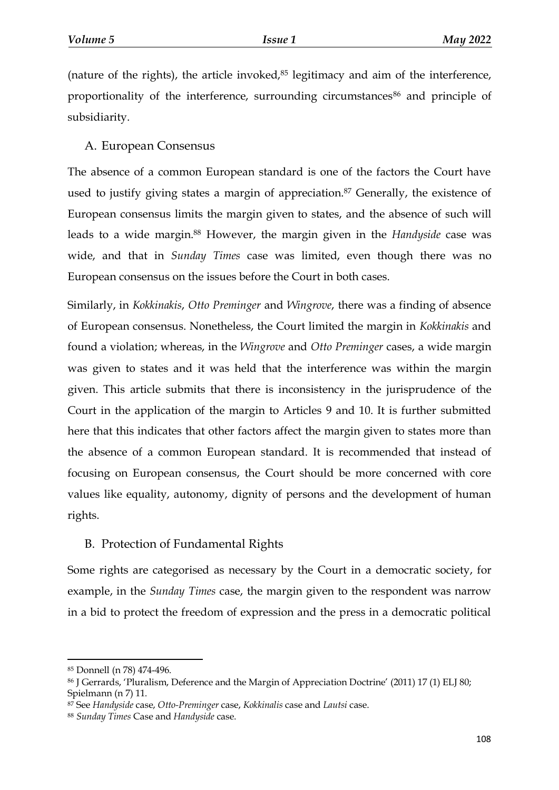(nature of the rights), the article invoked, $85$  legitimacy and aim of the interference, proportionality of the interference, surrounding circumstances<sup>86</sup> and principle of subsidiarity.

A. European Consensus

The absence of a common European standard is one of the factors the Court have used to justify giving states a margin of appreciation.<sup>87</sup> Generally, the existence of European consensus limits the margin given to states, and the absence of such will leads to a wide margin.<sup>88</sup> However, the margin given in the *Handyside* case was wide, and that in *Sunday Times* case was limited, even though there was no European consensus on the issues before the Court in both cases.

Similarly, in *Kokkinakis*, *Otto Preminger* and *Wingrove*, there was a finding of absence of European consensus. Nonetheless, the Court limited the margin in *Kokkinakis* and found a violation; whereas, in the *Wingrove* and *Otto Preminger* cases, a wide margin was given to states and it was held that the interference was within the margin given. This article submits that there is inconsistency in the jurisprudence of the Court in the application of the margin to Articles 9 and 10. It is further submitted here that this indicates that other factors affect the margin given to states more than the absence of a common European standard. It is recommended that instead of focusing on European consensus, the Court should be more concerned with core values like equality, autonomy, dignity of persons and the development of human rights.

## B. Protection of Fundamental Rights

Some rights are categorised as necessary by the Court in a democratic society, for example, in the *Sunday Times* case, the margin given to the respondent was narrow in a bid to protect the freedom of expression and the press in a democratic political

<sup>85</sup> Donnell (n 78) 474-496.

<sup>86</sup> J Gerrards, 'Pluralism, Deference and the Margin of Appreciation Doctrine' (2011) 17 (1) ELJ 80; Spielmann (n 7) 11.

<sup>87</sup> See *Handyside* case, *Otto-Preminger* case, *Kokkinalis* case and *Lautsi* case.

<sup>88</sup> *Sunday Times* Case and *Handyside* case.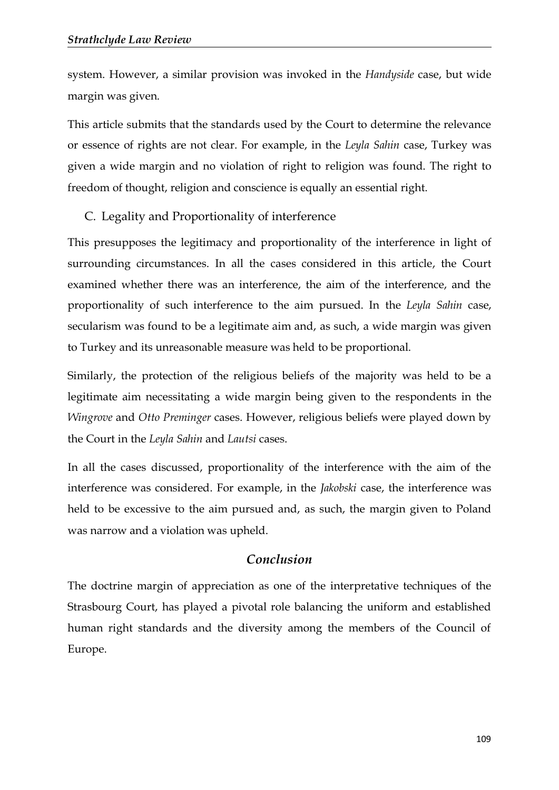system. However, a similar provision was invoked in the *Handyside* case, but wide margin was given.

This article submits that the standards used by the Court to determine the relevance or essence of rights are not clear. For example, in the *Leyla Sahin* case, Turkey was given a wide margin and no violation of right to religion was found. The right to freedom of thought, religion and conscience is equally an essential right.

C. Legality and Proportionality of interference

This presupposes the legitimacy and proportionality of the interference in light of surrounding circumstances. In all the cases considered in this article, the Court examined whether there was an interference, the aim of the interference, and the proportionality of such interference to the aim pursued. In the *Leyla Sahin* case, secularism was found to be a legitimate aim and, as such, a wide margin was given to Turkey and its unreasonable measure was held to be proportional.

Similarly, the protection of the religious beliefs of the majority was held to be a legitimate aim necessitating a wide margin being given to the respondents in the *Wingrove* and *Otto Preminger* cases. However, religious beliefs were played down by the Court in the *Leyla Sahin* and *Lautsi* cases.

In all the cases discussed, proportionality of the interference with the aim of the interference was considered. For example, in the *Jakobski* case, the interference was held to be excessive to the aim pursued and, as such, the margin given to Poland was narrow and a violation was upheld.

## *Conclusion*

The doctrine margin of appreciation as one of the interpretative techniques of the Strasbourg Court, has played a pivotal role balancing the uniform and established human right standards and the diversity among the members of the Council of Europe.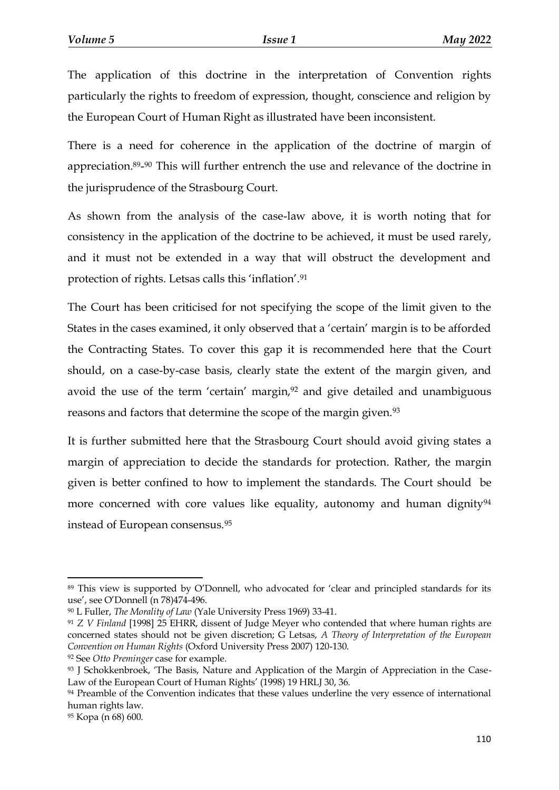The application of this doctrine in the interpretation of Convention rights particularly the rights to freedom of expression, thought, conscience and religion by the European Court of Human Right as illustrated have been inconsistent.

There is a need for coherence in the application of the doctrine of margin of appreciation.89- <sup>90</sup> This will further entrench the use and relevance of the doctrine in the jurisprudence of the Strasbourg Court.

As shown from the analysis of the case-law above, it is worth noting that for consistency in the application of the doctrine to be achieved, it must be used rarely, and it must not be extended in a way that will obstruct the development and protection of rights. Letsas calls this 'inflation'.<sup>91</sup>

The Court has been criticised for not specifying the scope of the limit given to the States in the cases examined, it only observed that a 'certain' margin is to be afforded the Contracting States. To cover this gap it is recommended here that the Court should, on a case-by-case basis, clearly state the extent of the margin given, and avoid the use of the term 'certain' margin,<sup>92</sup> and give detailed and unambiguous reasons and factors that determine the scope of the margin given.<sup>93</sup>

It is further submitted here that the Strasbourg Court should avoid giving states a margin of appreciation to decide the standards for protection. Rather, the margin given is better confined to how to implement the standards. The Court should be more concerned with core values like equality, autonomy and human dignity<sup>94</sup> instead of European consensus.<sup>95</sup>

<sup>89</sup> This view is supported by O'Donnell, who advocated for 'clear and principled standards for its use', see O'Donnell (n 78)474-496.

<sup>90</sup> L Fuller, *The Morality of Law* (Yale University Press 1969) 33-41.

<sup>91</sup> *Z V Finland* [1998] 25 EHRR, dissent of Judge Meyer who contended that where human rights are concerned states should not be given discretion; G Letsas, *A Theory of Interpretation of the European Convention on Human Rights* (Oxford University Press 2007) 120-130.

<sup>92</sup> See *Otto Preminger* case for example.

<sup>93</sup> J Schokkenbroek, 'The Basis, Nature and Application of the Margin of Appreciation in the Case-Law of the European Court of Human Rights' (1998) 19 HRLJ 30, 36.

<sup>&</sup>lt;sup>94</sup> Preamble of the Convention indicates that these values underline the very essence of international human rights law.

<sup>95</sup> Kopa (n 68) 600.